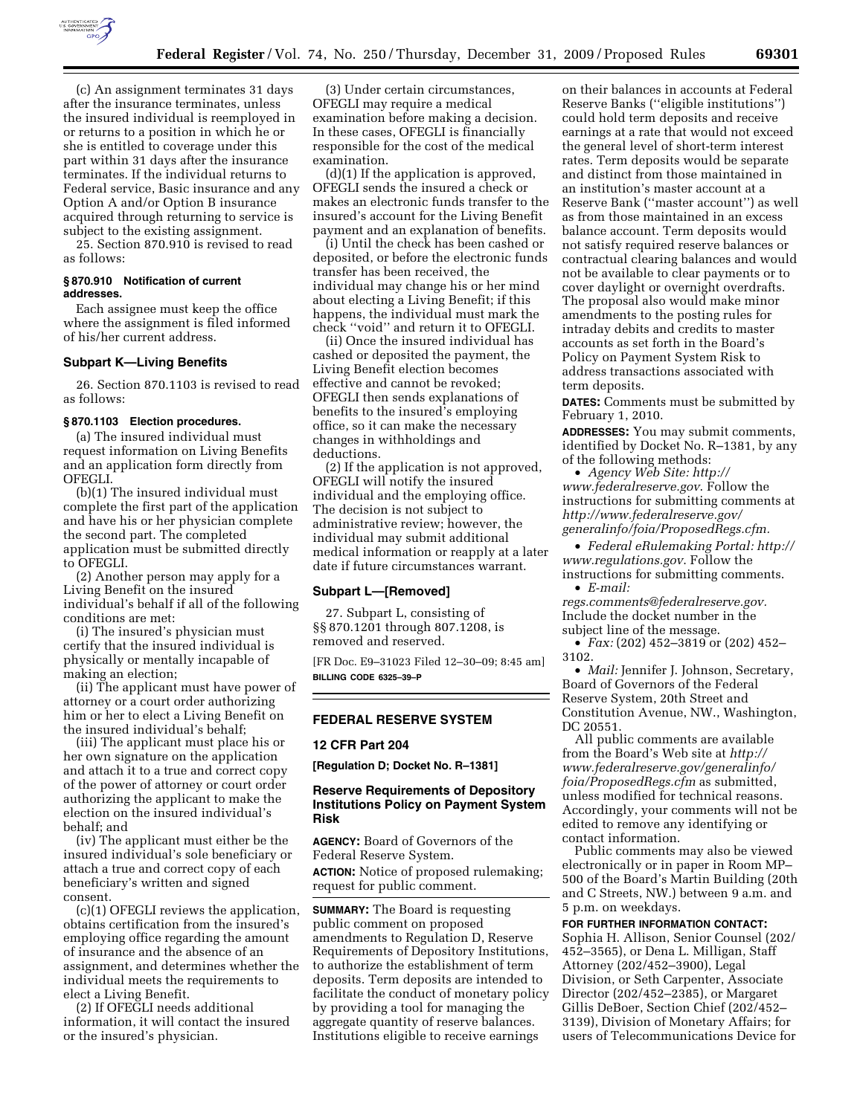

(c) An assignment terminates 31 days after the insurance terminates, unless the insured individual is reemployed in or returns to a position in which he or she is entitled to coverage under this part within 31 days after the insurance terminates. If the individual returns to Federal service, Basic insurance and any Option A and/or Option B insurance acquired through returning to service is subject to the existing assignment.

25. Section 870.910 is revised to read as follows:

#### **§ 870.910 Notification of current addresses.**

Each assignee must keep the office where the assignment is filed informed of his/her current address.

## **Subpart K—Living Benefits**

26. Section 870.1103 is revised to read as follows:

#### **§ 870.1103 Election procedures.**

(a) The insured individual must request information on Living Benefits and an application form directly from OFEGLI.

(b)(1) The insured individual must complete the first part of the application and have his or her physician complete the second part. The completed application must be submitted directly to OFEGLI.

(2) Another person may apply for a Living Benefit on the insured individual's behalf if all of the following conditions are met:

(i) The insured's physician must certify that the insured individual is physically or mentally incapable of making an election;

(ii) The applicant must have power of attorney or a court order authorizing him or her to elect a Living Benefit on the insured individual's behalf;

(iii) The applicant must place his or her own signature on the application and attach it to a true and correct copy of the power of attorney or court order authorizing the applicant to make the election on the insured individual's behalf; and

(iv) The applicant must either be the insured individual's sole beneficiary or attach a true and correct copy of each beneficiary's written and signed consent.

(c)(1) OFEGLI reviews the application, obtains certification from the insured's employing office regarding the amount of insurance and the absence of an assignment, and determines whether the individual meets the requirements to elect a Living Benefit.

(2) If OFEGLI needs additional information, it will contact the insured or the insured's physician.

(3) Under certain circumstances, OFEGLI may require a medical examination before making a decision. In these cases, OFEGLI is financially responsible for the cost of the medical examination.

(d)(1) If the application is approved, OFEGLI sends the insured a check or makes an electronic funds transfer to the insured's account for the Living Benefit payment and an explanation of benefits.

(i) Until the check has been cashed or deposited, or before the electronic funds transfer has been received, the individual may change his or her mind about electing a Living Benefit; if this happens, the individual must mark the check ''void'' and return it to OFEGLI.

(ii) Once the insured individual has cashed or deposited the payment, the Living Benefit election becomes effective and cannot be revoked; OFEGLI then sends explanations of benefits to the insured's employing office, so it can make the necessary changes in withholdings and deductions.

(2) If the application is not approved, OFEGLI will notify the insured individual and the employing office. The decision is not subject to administrative review; however, the individual may submit additional medical information or reapply at a later date if future circumstances warrant.

#### **Subpart L—[Removed]**

27. Subpart L, consisting of §§ 870.1201 through 807.1208, is removed and reserved.

[FR Doc. E9–31023 Filed 12–30–09; 8:45 am] **BILLING CODE 6325–39–P** 

#### **FEDERAL RESERVE SYSTEM**

## **12 CFR Part 204**

**[Regulation D; Docket No. R–1381]** 

# **Reserve Requirements of Depository Institutions Policy on Payment System Risk**

**AGENCY:** Board of Governors of the Federal Reserve System.

**ACTION:** Notice of proposed rulemaking; request for public comment.

**SUMMARY:** The Board is requesting public comment on proposed amendments to Regulation D, Reserve Requirements of Depository Institutions, to authorize the establishment of term deposits. Term deposits are intended to facilitate the conduct of monetary policy by providing a tool for managing the aggregate quantity of reserve balances. Institutions eligible to receive earnings

on their balances in accounts at Federal Reserve Banks (''eligible institutions'') could hold term deposits and receive earnings at a rate that would not exceed the general level of short-term interest rates. Term deposits would be separate and distinct from those maintained in an institution's master account at a Reserve Bank (''master account'') as well as from those maintained in an excess balance account. Term deposits would not satisfy required reserve balances or contractual clearing balances and would not be available to clear payments or to cover daylight or overnight overdrafts. The proposal also would make minor amendments to the posting rules for intraday debits and credits to master accounts as set forth in the Board's Policy on Payment System Risk to address transactions associated with term deposits.

**DATES:** Comments must be submitted by February 1, 2010.

**ADDRESSES:** You may submit comments, identified by Docket No. R–1381, by any of the following methods:

• *Agency Web Site: http:// www.federalreserve.gov*. Follow the instructions for submitting comments at *http://www.federalreserve.gov/ generalinfo/foia/ProposedRegs.cfm.* 

• *Federal eRulemaking Portal: http:// www.regulations.gov*. Follow the instructions for submitting comments.

• *E-mail: regs.comments@federalreserve.gov.*  Include the docket number in the subject line of the message.

• *Fax:* (202) 452–3819 or (202) 452– 3102.

• *Mail:* Jennifer J. Johnson, Secretary, Board of Governors of the Federal Reserve System, 20th Street and Constitution Avenue, NW., Washington, DC 20551.

All public comments are available from the Board's Web site at *http:// www.federalreserve.gov/generalinfo/ foia/ProposedRegs.cfm* as submitted, unless modified for technical reasons. Accordingly, your comments will not be edited to remove any identifying or contact information.

Public comments may also be viewed electronically or in paper in Room MP– 500 of the Board's Martin Building (20th and C Streets, NW.) between 9 a.m. and 5 p.m. on weekdays.

# **FOR FURTHER INFORMATION CONTACT:**

Sophia H. Allison, Senior Counsel (202/ 452–3565), or Dena L. Milligan, Staff Attorney (202/452–3900), Legal Division, or Seth Carpenter, Associate Director (202/452–2385), or Margaret Gillis DeBoer, Section Chief (202/452– 3139), Division of Monetary Affairs; for users of Telecommunications Device for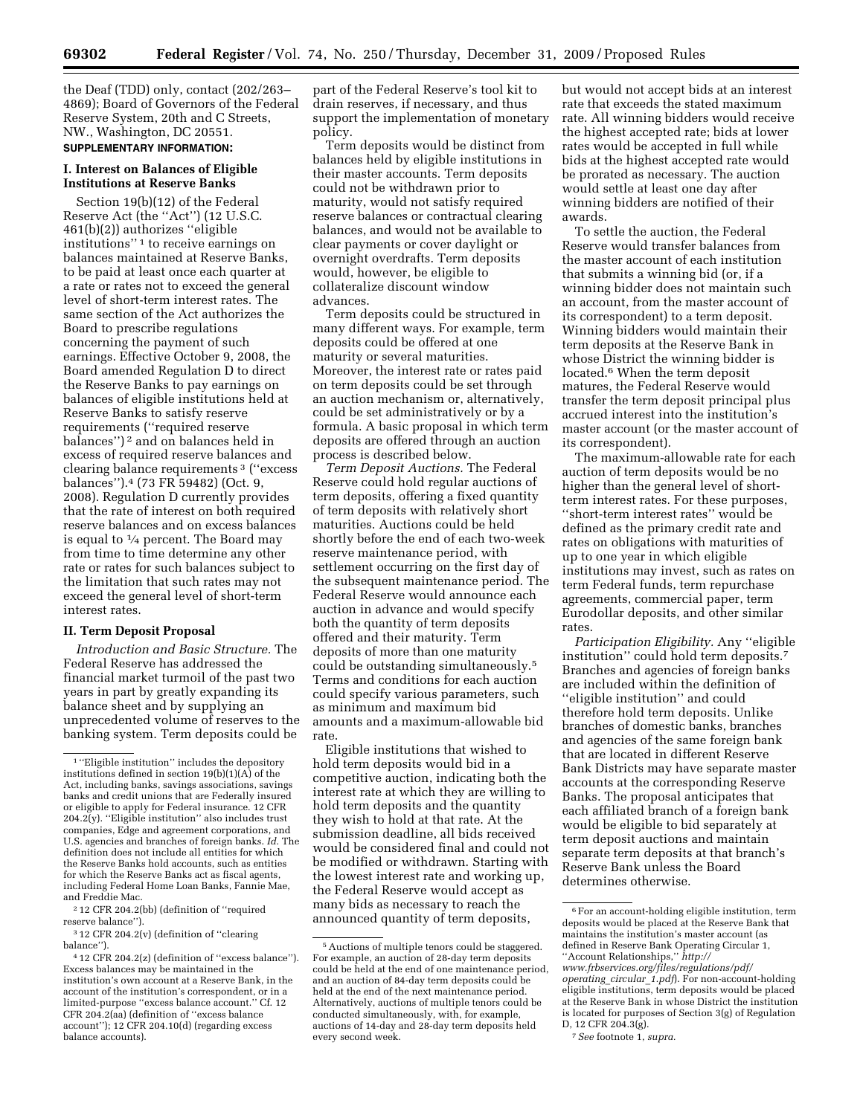the Deaf (TDD) only, contact (202/263– 4869); Board of Governors of the Federal Reserve System, 20th and C Streets, NW., Washington, DC 20551. **SUPPLEMENTARY INFORMATION:** 

# **I. Interest on Balances of Eligible Institutions at Reserve Banks**

Section 19(b)(12) of the Federal Reserve Act (the ''Act'') (12 U.S.C. 461(b)(2)) authorizes ''eligible institutions'' 1 to receive earnings on balances maintained at Reserve Banks, to be paid at least once each quarter at a rate or rates not to exceed the general level of short-term interest rates. The same section of the Act authorizes the Board to prescribe regulations concerning the payment of such earnings. Effective October 9, 2008, the Board amended Regulation D to direct the Reserve Banks to pay earnings on balances of eligible institutions held at Reserve Banks to satisfy reserve requirements (''required reserve balances'') 2 and on balances held in excess of required reserve balances and clearing balance requirements 3 (''excess balances'').4 (73 FR 59482) (Oct. 9, 2008). Regulation D currently provides that the rate of interest on both required reserve balances and on excess balances is equal to  $\frac{1}{4}$  percent. The Board may from time to time determine any other rate or rates for such balances subject to the limitation that such rates may not exceed the general level of short-term interest rates.

# **II. Term Deposit Proposal**

*Introduction and Basic Structure.* The Federal Reserve has addressed the financial market turmoil of the past two years in part by greatly expanding its balance sheet and by supplying an unprecedented volume of reserves to the banking system. Term deposits could be

2 12 CFR 204.2(bb) (definition of ''required reserve balance'').

3 12 CFR 204.2(v) (definition of ''clearing balance'').

part of the Federal Reserve's tool kit to drain reserves, if necessary, and thus support the implementation of monetary policy.

Term deposits would be distinct from balances held by eligible institutions in their master accounts. Term deposits could not be withdrawn prior to maturity, would not satisfy required reserve balances or contractual clearing balances, and would not be available to clear payments or cover daylight or overnight overdrafts. Term deposits would, however, be eligible to collateralize discount window advances.

Term deposits could be structured in many different ways. For example, term deposits could be offered at one maturity or several maturities. Moreover, the interest rate or rates paid on term deposits could be set through an auction mechanism or, alternatively, could be set administratively or by a formula. A basic proposal in which term deposits are offered through an auction process is described below.

*Term Deposit Auctions.* The Federal Reserve could hold regular auctions of term deposits, offering a fixed quantity of term deposits with relatively short maturities. Auctions could be held shortly before the end of each two-week reserve maintenance period, with settlement occurring on the first day of the subsequent maintenance period. The Federal Reserve would announce each auction in advance and would specify both the quantity of term deposits offered and their maturity. Term deposits of more than one maturity could be outstanding simultaneously.5 Terms and conditions for each auction could specify various parameters, such as minimum and maximum bid amounts and a maximum-allowable bid rate.

Eligible institutions that wished to hold term deposits would bid in a competitive auction, indicating both the interest rate at which they are willing to hold term deposits and the quantity they wish to hold at that rate. At the submission deadline, all bids received would be considered final and could not be modified or withdrawn. Starting with the lowest interest rate and working up, the Federal Reserve would accept as many bids as necessary to reach the announced quantity of term deposits,

but would not accept bids at an interest rate that exceeds the stated maximum rate. All winning bidders would receive the highest accepted rate; bids at lower rates would be accepted in full while bids at the highest accepted rate would be prorated as necessary. The auction would settle at least one day after winning bidders are notified of their awards.

To settle the auction, the Federal Reserve would transfer balances from the master account of each institution that submits a winning bid (or, if a winning bidder does not maintain such an account, from the master account of its correspondent) to a term deposit. Winning bidders would maintain their term deposits at the Reserve Bank in whose District the winning bidder is located.<sup>6</sup> When the term deposit matures, the Federal Reserve would transfer the term deposit principal plus accrued interest into the institution's master account (or the master account of its correspondent).

The maximum-allowable rate for each auction of term deposits would be no higher than the general level of shortterm interest rates. For these purposes, ''short-term interest rates'' would be defined as the primary credit rate and rates on obligations with maturities of up to one year in which eligible institutions may invest, such as rates on term Federal funds, term repurchase agreements, commercial paper, term Eurodollar deposits, and other similar rates.

*Participation Eligibility.* Any ''eligible institution'' could hold term deposits.7 Branches and agencies of foreign banks are included within the definition of ''eligible institution'' and could therefore hold term deposits. Unlike branches of domestic banks, branches and agencies of the same foreign bank that are located in different Reserve Bank Districts may have separate master accounts at the corresponding Reserve Banks. The proposal anticipates that each affiliated branch of a foreign bank would be eligible to bid separately at term deposit auctions and maintain separate term deposits at that branch's Reserve Bank unless the Board determines otherwise.

<sup>1</sup> ''Eligible institution'' includes the depository institutions defined in section  $19(b)(1)(A)$  of the Act, including banks, savings associations, savings banks and credit unions that are Federally insured or eligible to apply for Federal insurance. 12 CFR 204.2(y). ''Eligible institution'' also includes trust companies, Edge and agreement corporations, and U.S. agencies and branches of foreign banks. *Id.* The definition does not include all entities for which the Reserve Banks hold accounts, such as entities for which the Reserve Banks act as fiscal agents, including Federal Home Loan Banks, Fannie Mae, and Freddie Mac.

<sup>4</sup> 12 CFR 204.2(z) (definition of ''excess balance''). Excess balances may be maintained in the institution's own account at a Reserve Bank, in the account of the institution's correspondent, or in a limited-purpose ''excess balance account.'' Cf. 12 CFR 204.2(aa) (definition of ''excess balance account''); 12 CFR 204.10(d) (regarding excess balance accounts).

<sup>5</sup>Auctions of multiple tenors could be staggered. For example, an auction of 28-day term deposits could be held at the end of one maintenance period, and an auction of 84-day term deposits could be held at the end of the next maintenance period. Alternatively, auctions of multiple tenors could be conducted simultaneously, with, for example, auctions of 14-day and 28-day term deposits held every second week.

 $\overline{{}^6\mathrm{For}}$  an account-holding eligible institution, term deposits would be placed at the Reserve Bank that maintains the institution's master account (as defined in Reserve Bank Operating Circular 1, ''Account Relationships,'' *http://* 

*www.frbservices.org/files/regulations/pdf/ operating*\_*circular*\_*1.pdf*). For non-account-holding eligible institutions, term deposits would be placed at the Reserve Bank in whose District the institution is located for purposes of Section 3(g) of Regulation D, 12 CFR 204.3(g).

<sup>7</sup>*See* footnote 1, *supra.*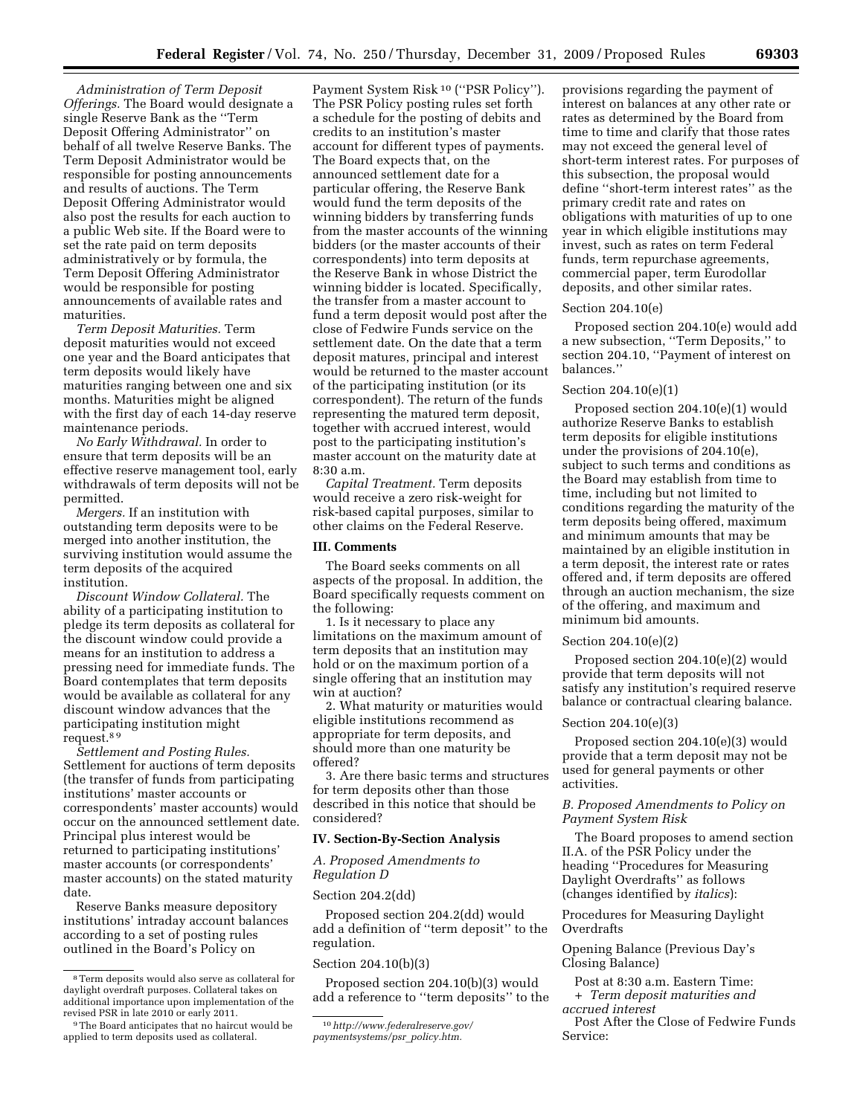*Administration of Term Deposit Offerings.* The Board would designate a single Reserve Bank as the ''Term Deposit Offering Administrator'' on behalf of all twelve Reserve Banks. The Term Deposit Administrator would be responsible for posting announcements and results of auctions. The Term Deposit Offering Administrator would also post the results for each auction to a public Web site. If the Board were to set the rate paid on term deposits administratively or by formula, the Term Deposit Offering Administrator would be responsible for posting announcements of available rates and

*Term Deposit Maturities.* Term deposit maturities would not exceed one year and the Board anticipates that term deposits would likely have maturities ranging between one and six months. Maturities might be aligned with the first day of each 14-day reserve maintenance periods.

maturities.

*No Early Withdrawal.* In order to ensure that term deposits will be an effective reserve management tool, early withdrawals of term deposits will not be permitted.

*Mergers.* If an institution with outstanding term deposits were to be merged into another institution, the surviving institution would assume the term deposits of the acquired institution.

*Discount Window Collateral.* The ability of a participating institution to pledge its term deposits as collateral for the discount window could provide a means for an institution to address a pressing need for immediate funds. The Board contemplates that term deposits would be available as collateral for any discount window advances that the participating institution might request.8 9

*Settlement and Posting Rules.*  Settlement for auctions of term deposits (the transfer of funds from participating institutions' master accounts or correspondents' master accounts) would occur on the announced settlement date. Principal plus interest would be returned to participating institutions' master accounts (or correspondents' master accounts) on the stated maturity date.

Reserve Banks measure depository institutions' intraday account balances according to a set of posting rules outlined in the Board's Policy on

Payment System Risk 10 (''PSR Policy''). The PSR Policy posting rules set forth a schedule for the posting of debits and credits to an institution's master account for different types of payments. The Board expects that, on the announced settlement date for a particular offering, the Reserve Bank would fund the term deposits of the winning bidders by transferring funds from the master accounts of the winning bidders (or the master accounts of their correspondents) into term deposits at the Reserve Bank in whose District the winning bidder is located. Specifically, the transfer from a master account to fund a term deposit would post after the close of Fedwire Funds service on the settlement date. On the date that a term deposit matures, principal and interest would be returned to the master account of the participating institution (or its correspondent). The return of the funds representing the matured term deposit, together with accrued interest, would post to the participating institution's master account on the maturity date at 8:30 a.m.

*Capital Treatment.* Term deposits would receive a zero risk-weight for risk-based capital purposes, similar to other claims on the Federal Reserve.

# **III. Comments**

The Board seeks comments on all aspects of the proposal. In addition, the Board specifically requests comment on the following:

1. Is it necessary to place any limitations on the maximum amount of term deposits that an institution may hold or on the maximum portion of a single offering that an institution may win at auction?

2. What maturity or maturities would eligible institutions recommend as appropriate for term deposits, and should more than one maturity be offered?

3. Are there basic terms and structures for term deposits other than those described in this notice that should be considered?

### **IV. Section-By-Section Analysis**

*A. Proposed Amendments to Regulation D* 

## Section 204.2(dd)

Proposed section 204.2(dd) would add a definition of ''term deposit'' to the regulation.

## Section 204.10(b)(3)

Proposed section 204.10(b)(3) would add a reference to ''term deposits'' to the

provisions regarding the payment of interest on balances at any other rate or rates as determined by the Board from time to time and clarify that those rates may not exceed the general level of short-term interest rates. For purposes of this subsection, the proposal would define ''short-term interest rates'' as the primary credit rate and rates on obligations with maturities of up to one year in which eligible institutions may invest, such as rates on term Federal funds, term repurchase agreements, commercial paper, term Eurodollar deposits, and other similar rates.

## Section 204.10(e)

Proposed section 204.10(e) would add a new subsection, ''Term Deposits,'' to section 204.10, ''Payment of interest on balances.''

## Section 204.10(e)(1)

Proposed section 204.10(e)(1) would authorize Reserve Banks to establish term deposits for eligible institutions under the provisions of 204.10(e), subject to such terms and conditions as the Board may establish from time to time, including but not limited to conditions regarding the maturity of the term deposits being offered, maximum and minimum amounts that may be maintained by an eligible institution in a term deposit, the interest rate or rates offered and, if term deposits are offered through an auction mechanism, the size of the offering, and maximum and minimum bid amounts.

## Section 204.10(e)(2)

Proposed section 204.10(e)(2) would provide that term deposits will not satisfy any institution's required reserve balance or contractual clearing balance.

#### Section 204.10(e)(3)

Proposed section 204.10(e)(3) would provide that a term deposit may not be used for general payments or other activities.

# *B. Proposed Amendments to Policy on Payment System Risk*

The Board proposes to amend section II.A. of the PSR Policy under the heading ''Procedures for Measuring Daylight Overdrafts'' as follows (changes identified by *italics*):

# Procedures for Measuring Daylight **Overdrafts**

Opening Balance (Previous Day's Closing Balance)

Post at 8:30 a.m. Eastern Time: + *Term deposit maturities and accrued interest* 

Post After the Close of Fedwire Funds Service:

<sup>8</sup>Term deposits would also serve as collateral for daylight overdraft purposes. Collateral takes on additional importance upon implementation of the revised PSR in late 2010 or early 2011.

<sup>9</sup>The Board anticipates that no haircut would be applied to term deposits used as collateral.

<sup>10</sup>*http://www.federalreserve.gov/ paymentsystems/psr*\_*policy.htm.*